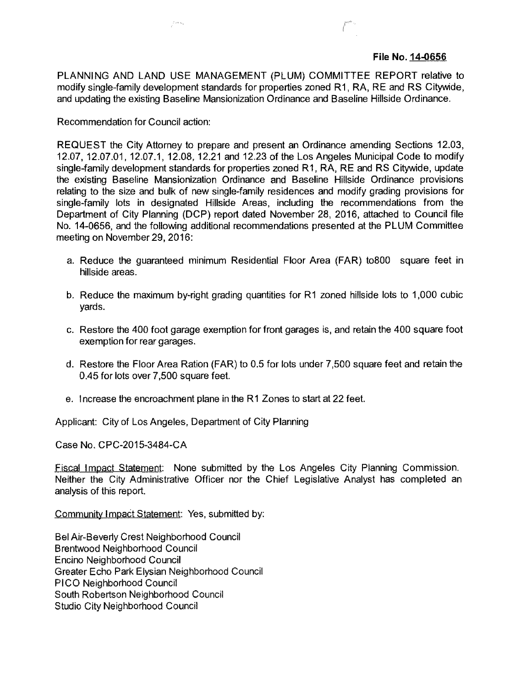**File No. 14-0656**

PLANNING AND LAND USE MANAGEMENT (PLUM) COMMITTEE REPORT relative to modify single-family development standards for properties zoned R1, RA, RE and RS Citywide, and updating the existing Baseline Mansionization Ordinance and Baseline Hillside Ordinance.

Recommendation for Council action:

REQUEST the City Attorney to prepare and present an Ordinance amending Sections 12.03, 12.07, 12.07.01, 12.07.1, 12.08, 12.21 and 12.23 of the Los Angeles Municipal Code to modify single-family development standards for properties zoned R1, RA, RE and RS Citywide, update the existing Baseline Mansionization Ordinance and Baseline Hillside Ordinance provisions relating to the size and bulk of new single-family residences and modify grading provisions for single-family lots in designated Hillside Areas, including the recommendations from the Department of City Planning (DCP) report dated November 28, 2016, attached to Council file No. 14-0656, and the following additional recommendations presented at the PLUM Committee meeting on November 29, 2016:

- a. Reduce the guaranteed minimum Residential Floor Area (FAR) to800 square feet in hillside areas.
- b. Reduce the maximum by-right grading quantities for R1 zoned hillside lots to 1,000 cubic yards.
- c. Restore the 400 foot garage exemption for front garages is, and retain the 400 square foot exemption for rear garages.
- d. Restore the Floor Area Ration (FAR) to 0.5 for lots under 7,500 square feet and retain the 0.45 for lots over 7,500 square feet.
- e. Increase the encroachment plane in the R1 Zones to start at 22 feet.

Applicant: City of Los Angeles, Department of City Planning

Case No. CPC-2015-3484-CA

Fiscal Impact Statement: None submitted by the Los Angeles City Planning Commission. Neither the City Administrative Officer nor the Chief Legislative Analyst has completed an analysis of this report.

Community Impact Statement: Yes, submitted by:

Bel Air-Beverly Crest Neighborhood Council Brentwood Neighborhood Council Encino Neighborhood Council Greater Echo Park Elysian Neighborhood Council PICO Neighborhood Council South Robertson Neighborhood Council Studio City Neighborhood Council